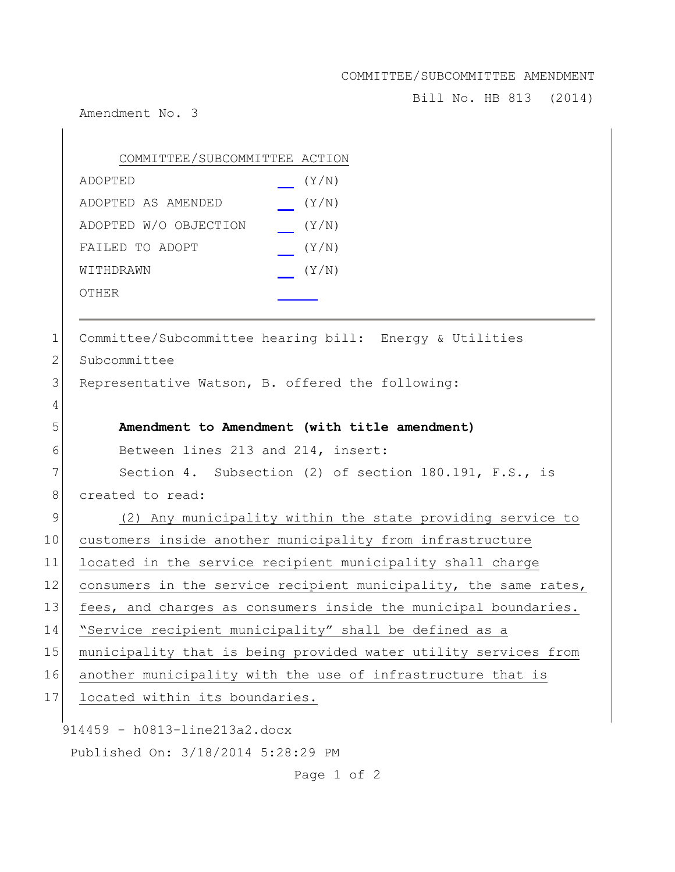COMMITTEE/SUBCOMMITTEE AMENDMENT

Bill No. HB 813 (2014)

Amendment No. 3

 $\overline{1}$ 

|              | COMMITTEE/SUBCOMMITTEE ACTION                                    |
|--------------|------------------------------------------------------------------|
|              | (Y/N)<br>ADOPTED                                                 |
|              | (Y/N)<br>ADOPTED AS AMENDED                                      |
|              | ADOPTED W/O OBJECTION<br>(Y/N)                                   |
|              | FAILED TO ADOPT<br>(Y/N)                                         |
|              | (Y/N)<br>WITHDRAWN                                               |
|              | OTHER                                                            |
|              |                                                                  |
| $\mathbf 1$  | Committee/Subcommittee hearing bill: Energy & Utilities          |
| $\mathbf{2}$ | Subcommittee                                                     |
| 3            | Representative Watson, B. offered the following:                 |
| 4            |                                                                  |
| 5            | Amendment to Amendment (with title amendment)                    |
| 6            | Between lines 213 and 214, insert:                               |
| 7            | Section 4. Subsection (2) of section 180.191, F.S., is           |
| 8            | created to read:                                                 |
| 9            | (2) Any municipality within the state providing service to       |
| 10           | customers inside another municipality from infrastructure        |
| 11           | located in the service recipient municipality shall charge       |
| 12           | consumers in the service recipient municipality, the same rates, |
| 13           | fees, and charges as consumers inside the municipal boundaries.  |
| 14           | "Service recipient municipality" shall be defined as a           |
| 15           | municipality that is being provided water utility services from  |
| 16           | another municipality with the use of infrastructure that is      |
| 17           | located within its boundaries.                                   |
|              | 914459 - h0813-line213a2.docx                                    |
|              | Published On: 3/18/2014 5:28:29 PM                               |

Page 1 of 2